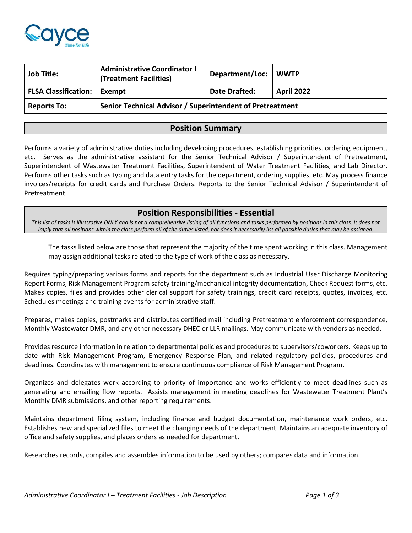

| <b>Job Title:</b>             | <b>Administrative Coordinator I</b><br>(Treatment Facilities) | Department/Loc: WWTP |                   |
|-------------------------------|---------------------------------------------------------------|----------------------|-------------------|
| FLSA Classification:   Exempt |                                                               | <b>Date Drafted:</b> | <b>April 2022</b> |
| <b>Reports To:</b>            | Senior Technical Advisor / Superintendent of Pretreatment     |                      |                   |

## **Position Summary**

Performs a variety of administrative duties including developing procedures, establishing priorities, ordering equipment, etc. Serves as the administrative assistant for the Senior Technical Advisor / Superintendent of Pretreatment, Superintendent of Wastewater Treatment Facilities, Superintendent of Water Treatment Facilities, and Lab Director. Performs other tasks such as typing and data entry tasks for the department, ordering supplies, etc. May process finance invoices/receipts for credit cards and Purchase Orders. Reports to the Senior Technical Advisor / Superintendent of Pretreatment.

## **Position Responsibilities - Essential**

*This list of tasks is illustrative ONLY and is not a comprehensive listing of all functions and tasks performed by positions in this class. It does not imply that all positions within the class perform all of the duties listed, nor does it necessarily list all possible duties that may be assigned.*

The tasks listed below are those that represent the majority of the time spent working in this class. Management may assign additional tasks related to the type of work of the class as necessary.

Requires typing/preparing various forms and reports for the department such as Industrial User Discharge Monitoring Report Forms, Risk Management Program safety training/mechanical integrity documentation, Check Request forms, etc. Makes copies, files and provides other clerical support for safety trainings, credit card receipts, quotes, invoices, etc. Schedules meetings and training events for administrative staff.

Prepares, makes copies, postmarks and distributes certified mail including Pretreatment enforcement correspondence, Monthly Wastewater DMR, and any other necessary DHEC or LLR mailings. May communicate with vendors as needed.

Provides resource information in relation to departmental policies and procedures to supervisors/coworkers. Keeps up to date with Risk Management Program, Emergency Response Plan, and related regulatory policies, procedures and deadlines. Coordinates with management to ensure continuous compliance of Risk Management Program.

Organizes and delegates work according to priority of importance and works efficiently to meet deadlines such as generating and emailing flow reports. Assists management in meeting deadlines for Wastewater Treatment Plant's Monthly DMR submissions, and other reporting requirements.

Maintains department filing system, including finance and budget documentation, maintenance work orders, etc. Establishes new and specialized files to meet the changing needs of the department. Maintains an adequate inventory of office and safety supplies, and places orders as needed for department.

Researches records, compiles and assembles information to be used by others; compares data and information.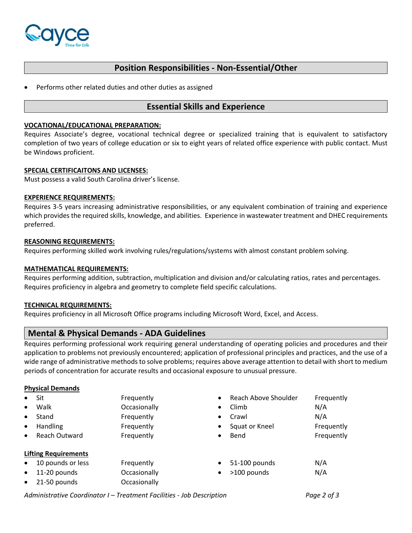

# **Position Responsibilities - Non-Essential/Other**

Performs other related duties and other duties as assigned

### **Essential Skills and Experience**

### **VOCATIONAL/EDUCATIONAL PREPARATION:**

Requires Associate's degree, vocational technical degree or specialized training that is equivalent to satisfactory completion of two years of college education or six to eight years of related office experience with public contact. Must be Windows proficient.

### **SPECIAL CERTIFICAITONS AND LICENSES:**

Must possess a valid South Carolina driver's license.

### **EXPERIENCE REQUIREMENTS:**

Requires 3-5 years increasing administrative responsibilities, or any equivalent combination of training and experience which provides the required skills, knowledge, and abilities. Experience in wastewater treatment and DHEC requirements preferred.

### **REASONING REQUIREMENTS:**

Requires performing skilled work involving rules/regulations/systems with almost constant problem solving.

### **MATHEMATICAL REQUIREMENTS:**

Requires performing addition, subtraction, multiplication and division and/or calculating ratios, rates and percentages. Requires proficiency in algebra and geometry to complete field specific calculations.

### **TECHNICAL REQUIREMENTS:**

Requires proficiency in all Microsoft Office programs including Microsoft Word, Excel, and Access.

## **Mental & Physical Demands - ADA Guidelines**

Requires performing professional work requiring general understanding of operating policies and procedures and their application to problems not previously encountered; application of professional principles and practices, and the use of a wide range of administrative methods to solve problems; requires above average attention to detail with short to medium periods of concentration for accurate results and occasional exposure to unusual pressure.

### **Physical Demands**

| $\bullet$<br>$\bullet$<br>$\bullet$<br>$\bullet$<br>$\bullet$ | Sit<br>Walk<br>Stand<br><b>Handling</b><br>Reach Outward                         | Frequently<br>$\bullet$<br>Occasionally<br>$\bullet$<br>Frequently<br>$\bullet$<br>Frequently<br>$\bullet$<br>Frequently<br>$\bullet$ | Reach Above Shoulder<br>Climb<br>Crawl<br>Squat or Kneel<br>Bend | Frequently<br>N/A<br>N/A<br>Frequently<br>Frequently |
|---------------------------------------------------------------|----------------------------------------------------------------------------------|---------------------------------------------------------------------------------------------------------------------------------------|------------------------------------------------------------------|------------------------------------------------------|
| $\bullet$<br>$\bullet$<br>$\bullet$                           | <b>Lifting Requirements</b><br>10 pounds or less<br>11-20 pounds<br>21-50 pounds | Frequently<br>$\bullet$<br>Occasionally<br>$\bullet$<br>Occasionally                                                                  | 51-100 pounds<br>>100 pounds                                     | N/A<br>N/A                                           |

*Administrative Coordinator I – Treatment Facilities - Job Description Page 2 of 3*